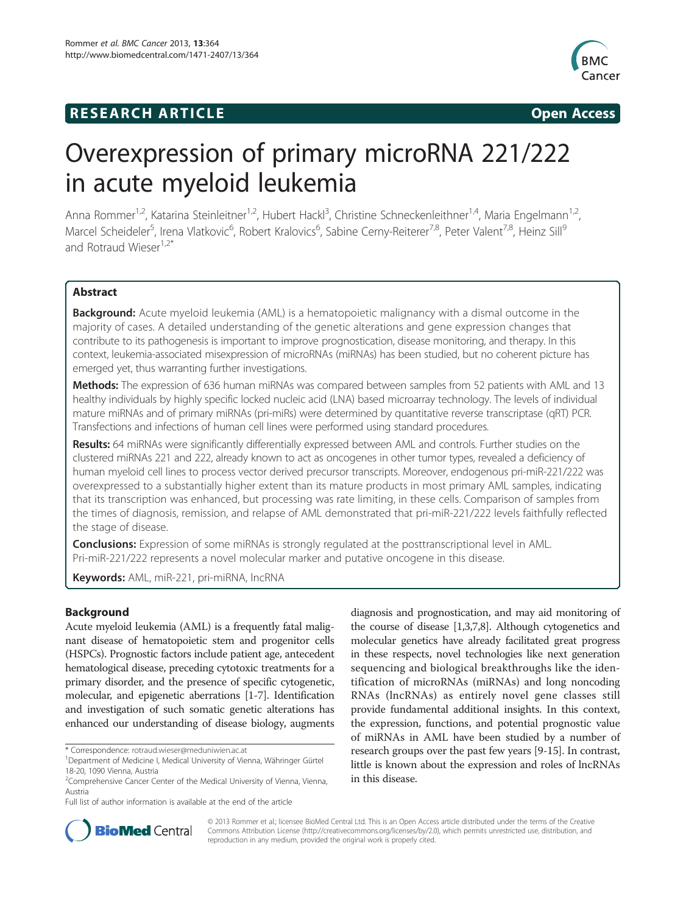## **RESEARCH ARTICLE Example 2014 CONSIDERING CONSIDERING CONSIDERING CONSIDERING CONSIDERING CONSIDERING CONSIDERING CONSIDERING CONSIDERING CONSIDERING CONSIDERING CONSIDERING CONSIDERING CONSIDERING CONSIDERING CONSIDE**



# Overexpression of primary microRNA 221/222 in acute myeloid leukemia

Anna Rommer<sup>1,2</sup>, Katarina Steinleitner<sup>1,2</sup>, Hubert Hackl<sup>3</sup>, Christine Schneckenleithner<sup>1,4</sup>, Maria Engelmann<sup>1,2</sup>, Marcel Scheideler<sup>5</sup>, Irena Vlatkovic<sup>6</sup>, Robert Kralovics<sup>6</sup>, Sabine Cerny-Reiterer<sup>7,8</sup>, Peter Valent<sup>7,8</sup>, Heinz Sill<sup>9</sup> and Rotraud Wieser<sup>1,2\*</sup>

## Abstract

**Background:** Acute myeloid leukemia (AML) is a hematopoietic malignancy with a dismal outcome in the majority of cases. A detailed understanding of the genetic alterations and gene expression changes that contribute to its pathogenesis is important to improve prognostication, disease monitoring, and therapy. In this context, leukemia-associated misexpression of microRNAs (miRNAs) has been studied, but no coherent picture has emerged yet, thus warranting further investigations.

**Methods:** The expression of 636 human miRNAs was compared between samples from 52 patients with AML and 13 healthy individuals by highly specific locked nucleic acid (LNA) based microarray technology. The levels of individual mature miRNAs and of primary miRNAs (pri-miRs) were determined by quantitative reverse transcriptase (qRT) PCR. Transfections and infections of human cell lines were performed using standard procedures.

Results: 64 miRNAs were significantly differentially expressed between AML and controls. Further studies on the clustered miRNAs 221 and 222, already known to act as oncogenes in other tumor types, revealed a deficiency of human myeloid cell lines to process vector derived precursor transcripts. Moreover, endogenous pri-miR-221/222 was overexpressed to a substantially higher extent than its mature products in most primary AML samples, indicating that its transcription was enhanced, but processing was rate limiting, in these cells. Comparison of samples from the times of diagnosis, remission, and relapse of AML demonstrated that pri-miR-221/222 levels faithfully reflected the stage of disease.

**Conclusions:** Expression of some miRNAs is strongly regulated at the posttranscriptional level in AML. Pri-miR-221/222 represents a novel molecular marker and putative oncogene in this disease.

Keywords: AML, miR-221, pri-miRNA, IncRNA

## Background

Acute myeloid leukemia (AML) is a frequently fatal malignant disease of hematopoietic stem and progenitor cells (HSPCs). Prognostic factors include patient age, antecedent hematological disease, preceding cytotoxic treatments for a primary disorder, and the presence of specific cytogenetic, molecular, and epigenetic aberrations [[1-7\]](#page-10-0). Identification and investigation of such somatic genetic alterations has enhanced our understanding of disease biology, augments

diagnosis and prognostication, and may aid monitoring of the course of disease [[1,3,7,8\]](#page-10-0). Although cytogenetics and molecular genetics have already facilitated great progress in these respects, novel technologies like next generation sequencing and biological breakthroughs like the identification of microRNAs (miRNAs) and long noncoding RNAs (lncRNAs) as entirely novel gene classes still provide fundamental additional insights. In this context, the expression, functions, and potential prognostic value of miRNAs in AML have been studied by a number of research groups over the past few years [\[9-15\]](#page-10-0). In contrast, little is known about the expression and roles of lncRNAs in this disease.



© 2013 Rommer et al.; licensee BioMed Central Ltd. This is an Open Access article distributed under the terms of the Creative Commons Attribution License [\(http://creativecommons.org/licenses/by/2.0\)](http://creativecommons.org/licenses/by/2.0), which permits unrestricted use, distribution, and reproduction in any medium, provided the original work is properly cited.

<sup>\*</sup> Correspondence: [rotraud.wieser@meduniwien.ac.at](mailto:rotraud.wieser@meduniwien.ac.at) <sup>1</sup>

<sup>&</sup>lt;sup>1</sup>Department of Medicine I, Medical University of Vienna, Währinger Gürtel 18-20, 1090 Vienna, Austria

<sup>&</sup>lt;sup>2</sup> Comprehensive Cancer Center of the Medical University of Vienna, Vienna, Austria

Full list of author information is available at the end of the article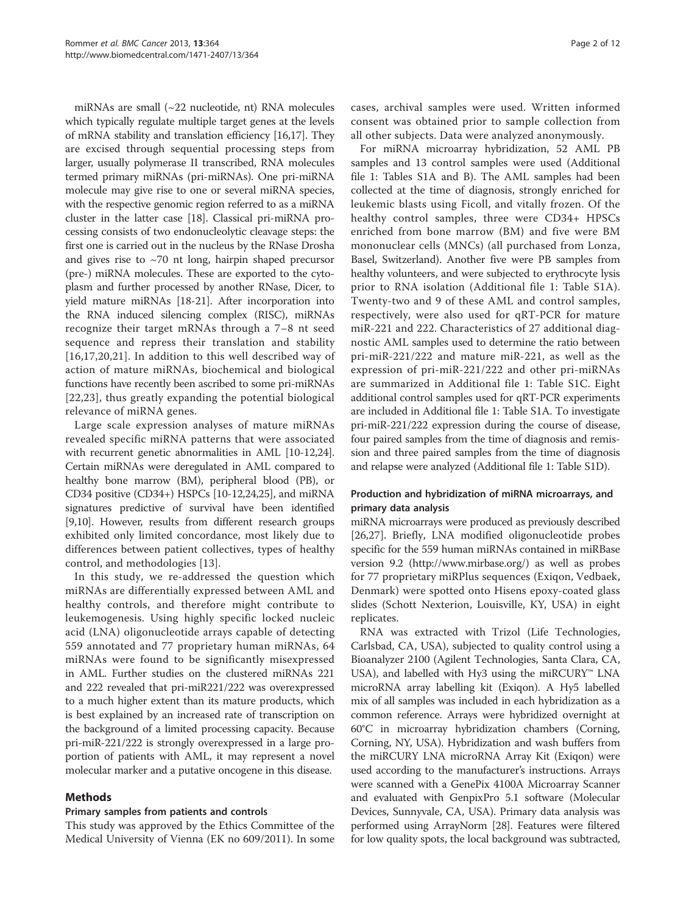miRNAs are small (~22 nucleotide, nt) RNA molecules which typically regulate multiple target genes at the levels of mRNA stability and translation efficiency [[16,17\]](#page-10-0). They are excised through sequential processing steps from larger, usually polymerase II transcribed, RNA molecules termed primary miRNAs (pri-miRNAs). One pri-miRNA molecule may give rise to one or several miRNA species, with the respective genomic region referred to as a miRNA cluster in the latter case [[18](#page-10-0)]. Classical pri-miRNA processing consists of two endonucleolytic cleavage steps: the first one is carried out in the nucleus by the RNase Drosha and gives rise to  $\sim$ 70 nt long, hairpin shaped precursor (pre-) miRNA molecules. These are exported to the cytoplasm and further processed by another RNase, Dicer, to yield mature miRNAs [\[18](#page-10-0)-[21](#page-10-0)]. After incorporation into the RNA induced silencing complex (RISC), miRNAs recognize their target mRNAs through a 7–8 nt seed sequence and repress their translation and stability [[16](#page-10-0),[17,20](#page-10-0),[21\]](#page-10-0). In addition to this well described way of action of mature miRNAs, biochemical and biological functions have recently been ascribed to some pri-miRNAs [[22](#page-10-0),[23\]](#page-10-0), thus greatly expanding the potential biological relevance of miRNA genes.

Large scale expression analyses of mature miRNAs revealed specific miRNA patterns that were associated with recurrent genetic abnormalities in AML [[10-12,24](#page-10-0)]. Certain miRNAs were deregulated in AML compared to healthy bone marrow (BM), peripheral blood (PB), or CD34 positive (CD34+) HSPCs [\[10-12,24,25](#page-10-0)], and miRNA signatures predictive of survival have been identified [[9,10](#page-10-0)]. However, results from different research groups exhibited only limited concordance, most likely due to differences between patient collectives, types of healthy control, and methodologies [\[13](#page-10-0)].

In this study, we re-addressed the question which miRNAs are differentially expressed between AML and healthy controls, and therefore might contribute to leukemogenesis. Using highly specific locked nucleic acid (LNA) oligonucleotide arrays capable of detecting 559 annotated and 77 proprietary human miRNAs, 64 miRNAs were found to be significantly misexpressed in AML. Further studies on the clustered miRNAs 221 and 222 revealed that pri-miR221/222 was overexpressed to a much higher extent than its mature products, which is best explained by an increased rate of transcription on the background of a limited processing capacity. Because pri-miR-221/222 is strongly overexpressed in a large proportion of patients with AML, it may represent a novel molecular marker and a putative oncogene in this disease.

## Methods

#### Primary samples from patients and controls

This study was approved by the Ethics Committee of the Medical University of Vienna (EK no 609/2011). In some

cases, archival samples were used. Written informed consent was obtained prior to sample collection from all other subjects. Data were analyzed anonymously.

For miRNA microarray hybridization, 52 AML PB samples and 13 control samples were used (Additional file [1](#page-9-0): Tables S1A and B). The AML samples had been collected at the time of diagnosis, strongly enriched for leukemic blasts using Ficoll, and vitally frozen. Of the healthy control samples, three were CD34+ HPSCs enriched from bone marrow (BM) and five were BM mononuclear cells (MNCs) (all purchased from Lonza, Basel, Switzerland). Another five were PB samples from healthy volunteers, and were subjected to erythrocyte lysis prior to RNA isolation (Additional file [1](#page-9-0): Table S1A). Twenty-two and 9 of these AML and control samples, respectively, were also used for qRT-PCR for mature miR-221 and 222. Characteristics of 27 additional diagnostic AML samples used to determine the ratio between pri-miR-221/222 and mature miR-221, as well as the expression of pri-miR-221/222 and other pri-miRNAs are summarized in Additional file [1](#page-9-0): Table S1C. Eight additional control samples used for qRT-PCR experiments are included in Additional file [1:](#page-9-0) Table S1A. To investigate pri-miR-221/222 expression during the course of disease, four paired samples from the time of diagnosis and remission and three paired samples from the time of diagnosis and relapse were analyzed (Additional file [1:](#page-9-0) Table S1D).

## Production and hybridization of miRNA microarrays, and primary data analysis

miRNA microarrays were produced as previously described [[26,27](#page-10-0)]. Briefly, LNA modified oligonucleotide probes specific for the 559 human miRNAs contained in miRBase version 9.2 [\(http://www.mirbase.org/\)](http://www.mirbase.org/) as well as probes for 77 proprietary miRPlus sequences (Exiqon, Vedbaek, Denmark) were spotted onto Hisens epoxy-coated glass slides (Schott Nexterion, Louisville, KY, USA) in eight replicates.

RNA was extracted with Trizol (Life Technologies, Carlsbad, CA, USA), subjected to quality control using a Bioanalyzer 2100 (Agilent Technologies, Santa Clara, CA, USA), and labelled with Hy3 using the miRCURY™ LNA microRNA array labelling kit (Exiqon). A Hy5 labelled mix of all samples was included in each hybridization as a common reference. Arrays were hybridized overnight at 60°C in microarray hybridization chambers (Corning, Corning, NY, USA). Hybridization and wash buffers from the miRCURY LNA microRNA Array Kit (Exiqon) were used according to the manufacturer's instructions. Arrays were scanned with a GenePix 4100A Microarray Scanner and evaluated with GenpixPro 5.1 software (Molecular Devices, Sunnyvale, CA, USA). Primary data analysis was performed using ArrayNorm [\[28](#page-11-0)]. Features were filtered for low quality spots, the local background was subtracted,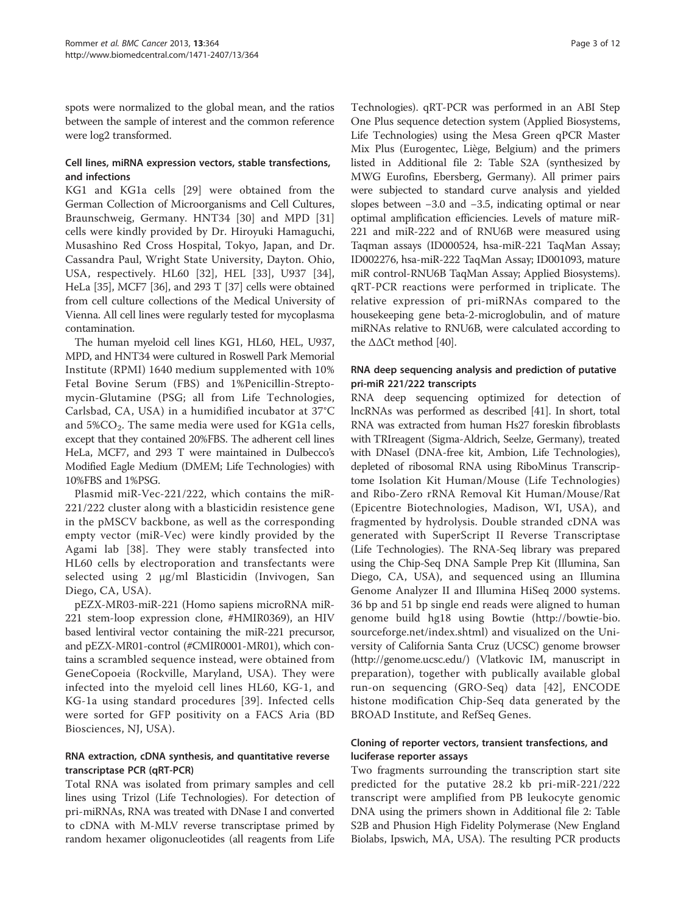spots were normalized to the global mean, and the ratios between the sample of interest and the common reference were log2 transformed.

## Cell lines, miRNA expression vectors, stable transfections, and infections

KG1 and KG1a cells [[29](#page-11-0)] were obtained from the German Collection of Microorganisms and Cell Cultures, Braunschweig, Germany. HNT34 [\[30](#page-11-0)] and MPD [\[31](#page-11-0)] cells were kindly provided by Dr. Hiroyuki Hamaguchi, Musashino Red Cross Hospital, Tokyo, Japan, and Dr. Cassandra Paul, Wright State University, Dayton. Ohio, USA, respectively. HL60 [\[32](#page-11-0)], HEL [[33\]](#page-11-0), U937 [[34](#page-11-0)], HeLa [\[35\]](#page-11-0), MCF7 [\[36\]](#page-11-0), and 293 T [\[37\]](#page-11-0) cells were obtained from cell culture collections of the Medical University of Vienna. All cell lines were regularly tested for mycoplasma contamination.

The human myeloid cell lines KG1, HL60, HEL, U937, MPD, and HNT34 were cultured in Roswell Park Memorial Institute (RPMI) 1640 medium supplemented with 10% Fetal Bovine Serum (FBS) and 1%Penicillin-Streptomycin-Glutamine (PSG; all from Life Technologies, Carlsbad, CA, USA) in a humidified incubator at 37°C and  $5\%CO<sub>2</sub>$ . The same media were used for KG1a cells, except that they contained 20%FBS. The adherent cell lines HeLa, MCF7, and 293 T were maintained in Dulbecco's Modified Eagle Medium (DMEM; Life Technologies) with 10%FBS and 1%PSG.

Plasmid miR-Vec-221/222, which contains the miR-221/222 cluster along with a blasticidin resistence gene in the pMSCV backbone, as well as the corresponding empty vector (miR-Vec) were kindly provided by the Agami lab [[38](#page-11-0)]. They were stably transfected into HL60 cells by electroporation and transfectants were selected using 2 μg/ml Blasticidin (Invivogen, San Diego, CA, USA).

pEZX-MR03-miR-221 (Homo sapiens microRNA miR-221 stem-loop expression clone, #HMIR0369), an HIV based lentiviral vector containing the miR-221 precursor, and pEZX-MR01-control (#CMIR0001-MR01), which contains a scrambled sequence instead, were obtained from GeneCopoeia (Rockville, Maryland, USA). They were infected into the myeloid cell lines HL60, KG-1, and KG-1a using standard procedures [\[39\]](#page-11-0). Infected cells were sorted for GFP positivity on a FACS Aria (BD Biosciences, NJ, USA).

## RNA extraction, cDNA synthesis, and quantitative reverse transcriptase PCR (qRT-PCR)

Total RNA was isolated from primary samples and cell lines using Trizol (Life Technologies). For detection of pri-miRNAs, RNA was treated with DNase I and converted to cDNA with M-MLV reverse transcriptase primed by random hexamer oligonucleotides (all reagents from Life

Technologies). qRT-PCR was performed in an ABI Step One Plus sequence detection system (Applied Biosystems, Life Technologies) using the Mesa Green qPCR Master Mix Plus (Eurogentec, Liège, Belgium) and the primers listed in Additional file [2](#page-9-0): Table S2A (synthesized by MWG Eurofins, Ebersberg, Germany). All primer pairs were subjected to standard curve analysis and yielded slopes between −3.0 and −3.5, indicating optimal or near optimal amplification efficiencies. Levels of mature miR-221 and miR-222 and of RNU6B were measured using Taqman assays (ID000524, hsa-miR-221 TaqMan Assay; ID002276, hsa-miR-222 TaqMan Assay; ID001093, mature miR control-RNU6B TaqMan Assay; Applied Biosystems). qRT-PCR reactions were performed in triplicate. The relative expression of pri-miRNAs compared to the housekeeping gene beta-2-microglobulin, and of mature miRNAs relative to RNU6B, were calculated according to the ΔΔCt method [[40](#page-11-0)].

## RNA deep sequencing analysis and prediction of putative pri-miR 221/222 transcripts

RNA deep sequencing optimized for detection of lncRNAs was performed as described [\[41](#page-11-0)]. In short, total RNA was extracted from human Hs27 foreskin fibroblasts with TRIreagent (Sigma-Aldrich, Seelze, Germany), treated with DNaseI (DNA-free kit, Ambion, Life Technologies), depleted of ribosomal RNA using RiboMinus Transcriptome Isolation Kit Human/Mouse (Life Technologies) and Ribo-Zero rRNA Removal Kit Human/Mouse/Rat (Epicentre Biotechnologies, Madison, WI, USA), and fragmented by hydrolysis. Double stranded cDNA was generated with SuperScript II Reverse Transcriptase (Life Technologies). The RNA-Seq library was prepared using the Chip-Seq DNA Sample Prep Kit (Illumina, San Diego, CA, USA), and sequenced using an Illumina Genome Analyzer II and Illumina HiSeq 2000 systems. 36 bp and 51 bp single end reads were aligned to human genome build hg18 using Bowtie [\(http://bowtie-bio.](http://bowtie-bio.sourceforge.net/index.shtml) [sourceforge.net/index.shtml\)](http://bowtie-bio.sourceforge.net/index.shtml) and visualized on the University of California Santa Cruz (UCSC) genome browser ([http://genome.ucsc.edu/\)](http://genome.ucsc.edu/) (Vlatkovic IM, manuscript in preparation), together with publically available global run-on sequencing (GRO-Seq) data [\[42\]](#page-11-0), ENCODE histone modification Chip-Seq data generated by the BROAD Institute, and RefSeq Genes.

## Cloning of reporter vectors, transient transfections, and luciferase reporter assays

Two fragments surrounding the transcription start site predicted for the putative 28.2 kb pri-miR-221/222 transcript were amplified from PB leukocyte genomic DNA using the primers shown in Additional file [2](#page-9-0): Table S2B and Phusion High Fidelity Polymerase (New England Biolabs, Ipswich, MA, USA). The resulting PCR products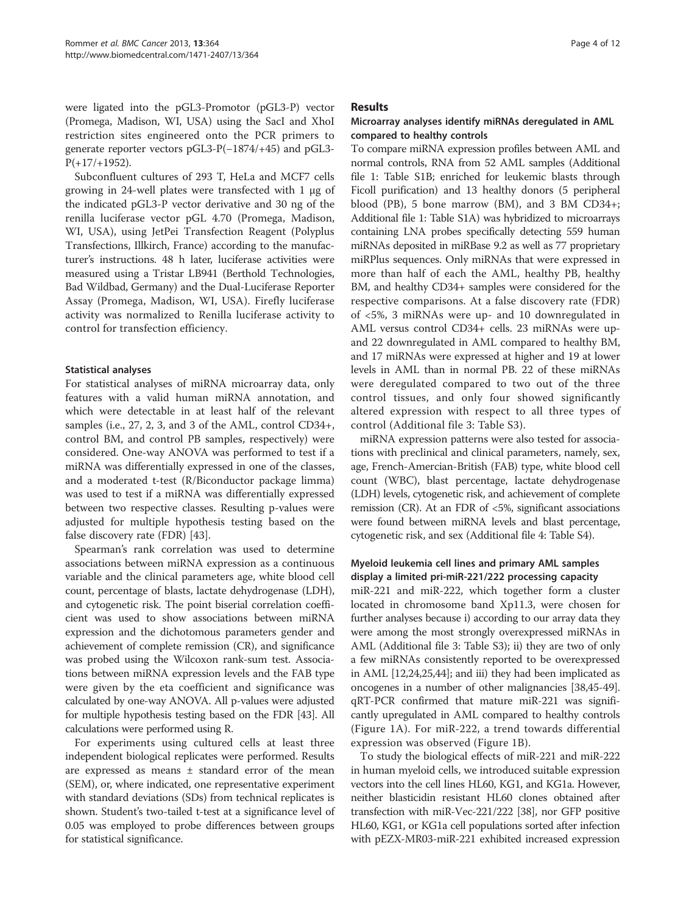were ligated into the pGL3-Promotor (pGL3-P) vector (Promega, Madison, WI, USA) using the SacI and XhoI restriction sites engineered onto the PCR primers to generate reporter vectors pGL3-P(−1874/+45) and pGL3-  $P(+17/+1952)$ .

Subconfluent cultures of 293 T, HeLa and MCF7 cells growing in 24-well plates were transfected with 1 μg of the indicated pGL3-P vector derivative and 30 ng of the renilla luciferase vector pGL 4.70 (Promega, Madison, WI, USA), using JetPei Transfection Reagent (Polyplus Transfections, Illkirch, France) according to the manufacturer's instructions. 48 h later, luciferase activities were measured using a Tristar LB941 (Berthold Technologies, Bad Wildbad, Germany) and the Dual-Luciferase Reporter Assay (Promega, Madison, WI, USA). Firefly luciferase activity was normalized to Renilla luciferase activity to control for transfection efficiency.

#### Statistical analyses

For statistical analyses of miRNA microarray data, only features with a valid human miRNA annotation, and which were detectable in at least half of the relevant samples (i.e., 27, 2, 3, and 3 of the AML, control CD34+, control BM, and control PB samples, respectively) were considered. One-way ANOVA was performed to test if a miRNA was differentially expressed in one of the classes, and a moderated t-test (R/Biconductor package limma) was used to test if a miRNA was differentially expressed between two respective classes. Resulting p-values were adjusted for multiple hypothesis testing based on the false discovery rate (FDR) [[43\]](#page-11-0).

Spearman's rank correlation was used to determine associations between miRNA expression as a continuous variable and the clinical parameters age, white blood cell count, percentage of blasts, lactate dehydrogenase (LDH), and cytogenetic risk. The point biserial correlation coefficient was used to show associations between miRNA expression and the dichotomous parameters gender and achievement of complete remission (CR), and significance was probed using the Wilcoxon rank-sum test. Associations between miRNA expression levels and the FAB type were given by the eta coefficient and significance was calculated by one-way ANOVA. All p-values were adjusted for multiple hypothesis testing based on the FDR [\[43](#page-11-0)]. All calculations were performed using R.

For experiments using cultured cells at least three independent biological replicates were performed. Results are expressed as means ± standard error of the mean (SEM), or, where indicated, one representative experiment with standard deviations (SDs) from technical replicates is shown. Student's two-tailed t-test at a significance level of 0.05 was employed to probe differences between groups for statistical significance.

#### **Results**

#### Microarray analyses identify miRNAs deregulated in AML compared to healthy controls

To compare miRNA expression profiles between AML and normal controls, RNA from 52 AML samples (Additional file [1](#page-9-0): Table S1B; enriched for leukemic blasts through Ficoll purification) and 13 healthy donors (5 peripheral blood (PB), 5 bone marrow (BM), and 3 BM CD34+; Additional file [1](#page-9-0): Table S1A) was hybridized to microarrays containing LNA probes specifically detecting 559 human miRNAs deposited in miRBase 9.2 as well as 77 proprietary miRPlus sequences. Only miRNAs that were expressed in more than half of each the AML, healthy PB, healthy BM, and healthy CD34+ samples were considered for the respective comparisons. At a false discovery rate (FDR) of <5%, 3 miRNAs were up- and 10 downregulated in AML versus control CD34+ cells. 23 miRNAs were upand 22 downregulated in AML compared to healthy BM, and 17 miRNAs were expressed at higher and 19 at lower levels in AML than in normal PB. 22 of these miRNAs were deregulated compared to two out of the three control tissues, and only four showed significantly altered expression with respect to all three types of control (Additional file [3](#page-9-0): Table S3).

miRNA expression patterns were also tested for associations with preclinical and clinical parameters, namely, sex, age, French-Amercian-British (FAB) type, white blood cell count (WBC), blast percentage, lactate dehydrogenase (LDH) levels, cytogenetic risk, and achievement of complete remission (CR). At an FDR of <5%, significant associations were found between miRNA levels and blast percentage, cytogenetic risk, and sex (Additional file [4](#page-9-0): Table S4).

## Myeloid leukemia cell lines and primary AML samples display a limited pri-miR-221/222 processing capacity

miR-221 and miR-222, which together form a cluster located in chromosome band Xp11.3, were chosen for further analyses because i) according to our array data they were among the most strongly overexpressed miRNAs in AML (Additional file [3:](#page-9-0) Table S3); ii) they are two of only a few miRNAs consistently reported to be overexpressed in AML [[12,24,25,](#page-10-0)[44\]](#page-11-0); and iii) they had been implicated as oncogenes in a number of other malignancies [[38,45](#page-11-0)-[49](#page-11-0)]. qRT-PCR confirmed that mature miR-221 was significantly upregulated in AML compared to healthy controls (Figure [1A](#page-4-0)). For miR-222, a trend towards differential expression was observed (Figure [1](#page-4-0)B).

To study the biological effects of miR-221 and miR-222 in human myeloid cells, we introduced suitable expression vectors into the cell lines HL60, KG1, and KG1a. However, neither blasticidin resistant HL60 clones obtained after transfection with miR-Vec-221/222 [\[38\]](#page-11-0), nor GFP positive HL60, KG1, or KG1a cell populations sorted after infection with pEZX-MR03-miR-221 exhibited increased expression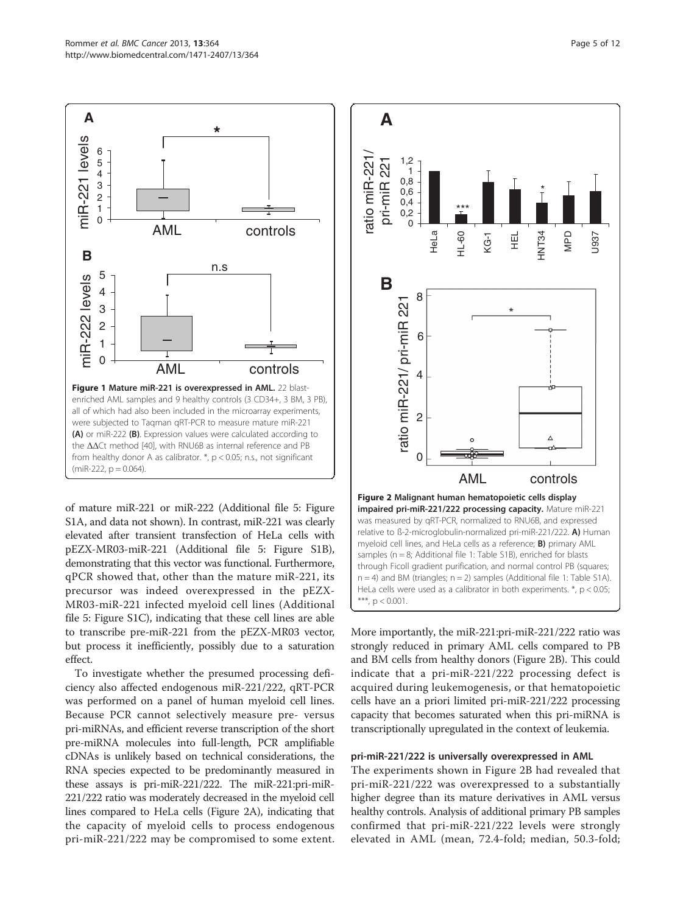miR-221 levels

miR-221 levels

**B**

miR-222 levels

miR-222 levels

<span id="page-4-0"></span>**A**

of mature miR-221 or miR-222 (Additional file [5](#page-9-0): Figure all of which had also been included in the microarray experiments, were subjected to Taqman qRT-PCR to measure mature miR-221 (A) or miR-222 (B). Expression values were calculated according to the ΔΔCt method [[40\]](#page-11-0), with RNU6B as internal reference and PB from healthy donor A as calibrator. \*, p < 0.05; n.s., not significant  $(miR-222, p = 0.064)$ .

Figure 1 Mature miR-221 is overexpressed in AML. 22 blastenriched AML samples and 9 healthy controls (3 CD34+, 3 BM, 3 PB),

AML controls

n.s

AML controls

**\***

S1A, and data not shown). In contrast, miR-221 was clearly elevated after transient transfection of HeLa cells with pEZX-MR03-miR-221 (Additional file [5:](#page-9-0) Figure S1B), demonstrating that this vector was functional. Furthermore, qPCR showed that, other than the mature miR-221, its precursor was indeed overexpressed in the pEZX-MR03-miR-221 infected myeloid cell lines (Additional file [5:](#page-9-0) Figure S1C), indicating that these cell lines are able to transcribe pre-miR-221 from the pEZX-MR03 vector, but process it inefficiently, possibly due to a saturation effect.

To investigate whether the presumed processing deficiency also affected endogenous miR-221/222, qRT-PCR was performed on a panel of human myeloid cell lines. Because PCR cannot selectively measure pre- versus pri-miRNAs, and efficient reverse transcription of the short pre-miRNA molecules into full-length, PCR amplifiable cDNAs is unlikely based on technical considerations, the RNA species expected to be predominantly measured in these assays is pri-miR-221/222. The miR-221:pri-miR-221/222 ratio was moderately decreased in the myeloid cell lines compared to HeLa cells (Figure 2A), indicating that the capacity of myeloid cells to process endogenous pri-miR-221/222 may be compromised to some extent.



More importantly, the miR-221:pri-miR-221/222 ratio was strongly reduced in primary AML cells compared to PB and BM cells from healthy donors (Figure 2B). This could indicate that a pri-miR-221/222 processing defect is acquired during leukemogenesis, or that hematopoietic cells have an a priori limited pri-miR-221/222 processing capacity that becomes saturated when this pri-miRNA is transcriptionally upregulated in the context of leukemia.

#### pri-miR-221/222 is universally overexpressed in AML

The experiments shown in Figure 2B had revealed that pri-miR-221/222 was overexpressed to a substantially higher degree than its mature derivatives in AML versus healthy controls. Analysis of additional primary PB samples confirmed that pri-miR-221/222 levels were strongly elevated in AML (mean, 72.4-fold; median, 50.3-fold;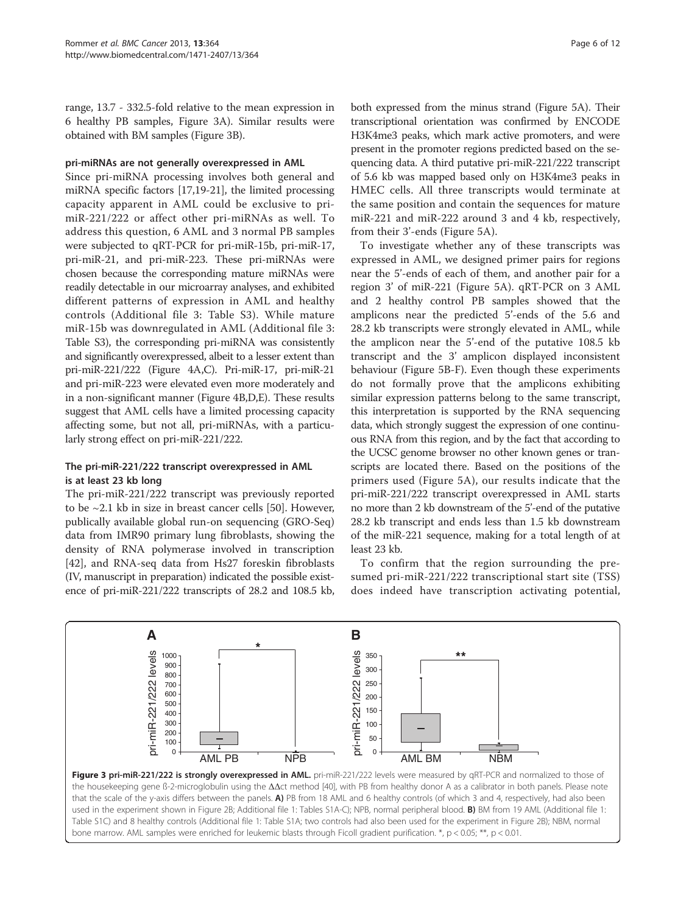<span id="page-5-0"></span>range, 13.7 - 332.5-fold relative to the mean expression in 6 healthy PB samples, Figure 3A). Similar results were obtained with BM samples (Figure 3B).

#### pri-miRNAs are not generally overexpressed in AML

Since pri-miRNA processing involves both general and miRNA specific factors [\[17,19-21\]](#page-10-0), the limited processing capacity apparent in AML could be exclusive to primiR-221/222 or affect other pri-miRNAs as well. To address this question, 6 AML and 3 normal PB samples were subjected to qRT-PCR for pri-miR-15b, pri-miR-17, pri-miR-21, and pri-miR-223. These pri-miRNAs were chosen because the corresponding mature miRNAs were readily detectable in our microarray analyses, and exhibited different patterns of expression in AML and healthy controls (Additional file [3](#page-9-0): Table S3). While mature miR-15b was downregulated in AML (Additional file [3](#page-9-0): Table S3), the corresponding pri-miRNA was consistently and significantly overexpressed, albeit to a lesser extent than pri-miR-221/222 (Figure [4A](#page-6-0),C). Pri-miR-17, pri-miR-21 and pri-miR-223 were elevated even more moderately and in a non-significant manner (Figure [4](#page-6-0)B,D,E). These results suggest that AML cells have a limited processing capacity affecting some, but not all, pri-miRNAs, with a particularly strong effect on pri-miR-221/222.

## The pri-miR-221/222 transcript overexpressed in AML is at least 23 kb long

The pri-miR-221/222 transcript was previously reported to be  $\sim$ 2.1 kb in size in breast cancer cells [[50](#page-11-0)]. However, publically available global run-on sequencing (GRO-Seq) data from IMR90 primary lung fibroblasts, showing the density of RNA polymerase involved in transcription [[42\]](#page-11-0), and RNA-seq data from Hs27 foreskin fibroblasts (IV, manuscript in preparation) indicated the possible existence of pri-miR-221/222 transcripts of 28.2 and 108.5 kb,

both expressed from the minus strand (Figure [5](#page-7-0)A). Their transcriptional orientation was confirmed by ENCODE H3K4me3 peaks, which mark active promoters, and were present in the promoter regions predicted based on the sequencing data. A third putative pri-miR-221/222 transcript of 5.6 kb was mapped based only on H3K4me3 peaks in HMEC cells. All three transcripts would terminate at the same position and contain the sequences for mature miR-221 and miR-222 around 3 and 4 kb, respectively, from their 3'-ends (Figure [5A](#page-7-0)).

To investigate whether any of these transcripts was expressed in AML, we designed primer pairs for regions near the 5'-ends of each of them, and another pair for a region 3' of miR-221 (Figure [5](#page-7-0)A). qRT-PCR on 3 AML and 2 healthy control PB samples showed that the amplicons near the predicted 5'-ends of the 5.6 and 28.2 kb transcripts were strongly elevated in AML, while the amplicon near the 5'-end of the putative 108.5 kb transcript and the 3' amplicon displayed inconsistent behaviour (Figure [5B](#page-7-0)-F). Even though these experiments do not formally prove that the amplicons exhibiting similar expression patterns belong to the same transcript, this interpretation is supported by the RNA sequencing data, which strongly suggest the expression of one continuous RNA from this region, and by the fact that according to the UCSC genome browser no other known genes or transcripts are located there. Based on the positions of the primers used (Figure [5](#page-7-0)A), our results indicate that the pri-miR-221/222 transcript overexpressed in AML starts no more than 2 kb downstream of the 5'-end of the putative 28.2 kb transcript and ends less than 1.5 kb downstream of the miR-221 sequence, making for a total length of at least 23 kb.

To confirm that the region surrounding the presumed pri-miR-221/222 transcriptional start site (TSS) does indeed have transcription activating potential,



Figure 3 pri-miR-221/222 is strongly overexpressed in AML. pri-miR-221/222 levels were measured by qRT-PCR and normalized to those of the housekeeping gene ß-2-microglobulin using the ΔΔct method [[40](#page-11-0)], with PB from healthy donor A as a calibrator in both panels. Please note that the scale of the y-axis differs between the panels. A) PB from 18 AML and 6 healthy controls (of which 3 and 4, respectively, had also been used in the experiment shown in Figure [2](#page-4-0)B; Additional file [1:](#page-9-0) Tables S1A-C); NPB, normal peripheral blood. **B)** BM from 19 AML (Additional file 1: Table S1C) and 8 healthy controls (Additional file [1:](#page-9-0) Table S1A; two controls had also been used for the experiment in Figure [2B](#page-4-0)); NBM, normal bone marrow. AML samples were enriched for leukemic blasts through Ficoll gradient purification. \*, p < 0.05; \*\*, p < 0.01.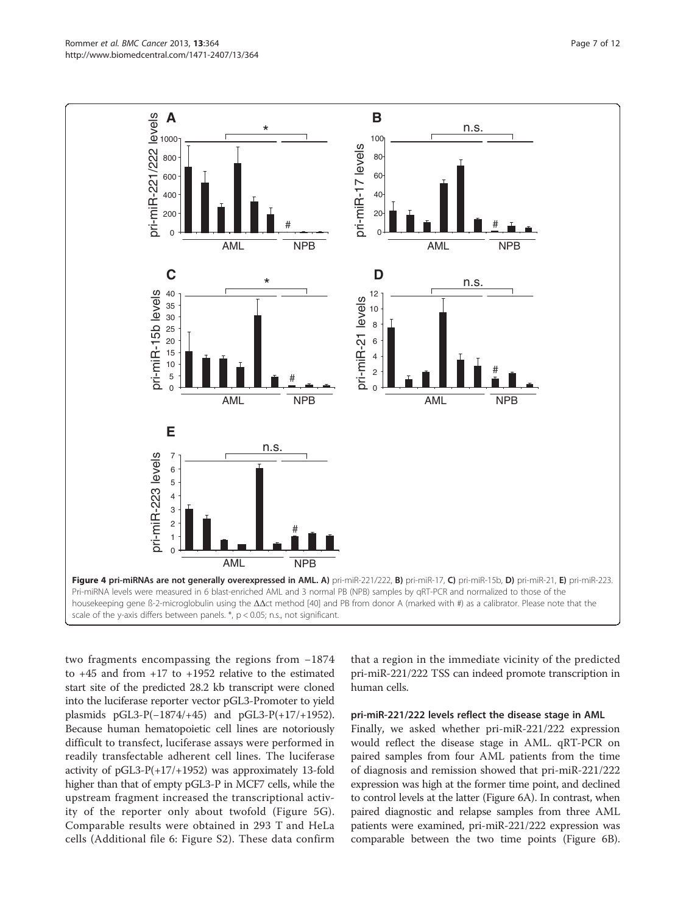two fragments encompassing the regions from −1874 to +45 and from +17 to +1952 relative to the estimated start site of the predicted 28.2 kb transcript were cloned into the luciferase reporter vector pGL3-Promoter to yield plasmids pGL3-P(−1874/+45) and pGL3-P(+17/+1952). Because human hematopoietic cell lines are notoriously difficult to transfect, luciferase assays were performed in readily transfectable adherent cell lines. The luciferase activity of pGL3-P(+17/+1952) was approximately 13-fold higher than that of empty pGL3-P in MCF7 cells, while the upstream fragment increased the transcriptional activity of the reporter only about twofold (Figure [5G](#page-7-0)). Comparable results were obtained in 293 T and HeLa

cells (Additional file [6:](#page-9-0) Figure S2). These data confirm

that a region in the immediate vicinity of the predicted pri-miR-221/222 TSS can indeed promote transcription in human cells.

#### pri-miR-221/222 levels reflect the disease stage in AML

Finally, we asked whether pri-miR-221/222 expression would reflect the disease stage in AML. qRT-PCR on paired samples from four AML patients from the time of diagnosis and remission showed that pri-miR-221/222 expression was high at the former time point, and declined to control levels at the latter (Figure [6](#page-8-0)A). In contrast, when paired diagnostic and relapse samples from three AML patients were examined, pri-miR-221/222 expression was comparable between the two time points (Figure [6B](#page-8-0)).

<span id="page-6-0"></span>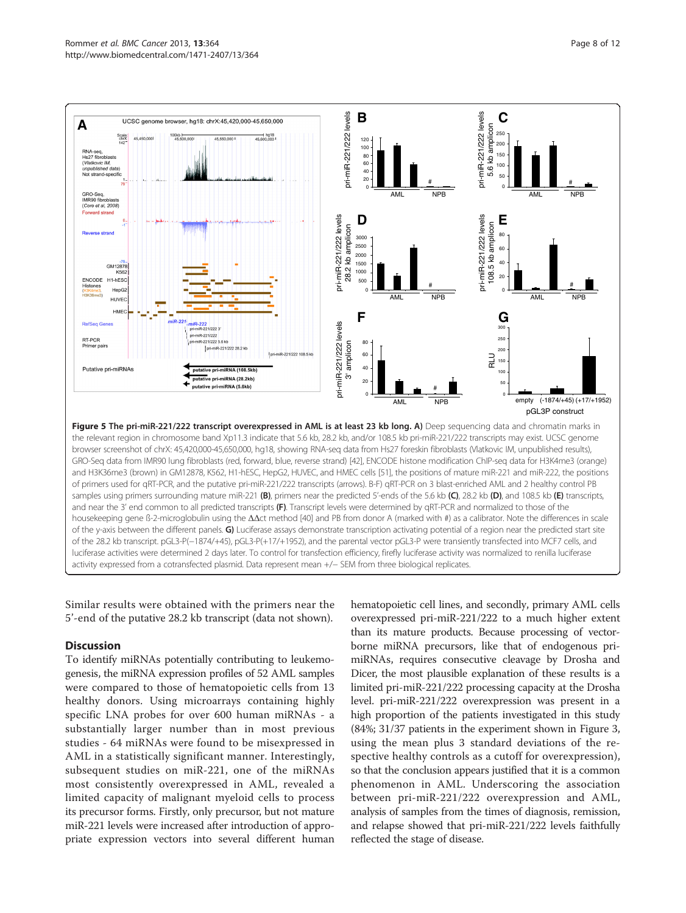<span id="page-7-0"></span>

Similar results were obtained with the primers near the 5'-end of the putative 28.2 kb transcript (data not shown).

## **Discussion**

To identify miRNAs potentially contributing to leukemogenesis, the miRNA expression profiles of 52 AML samples were compared to those of hematopoietic cells from 13 healthy donors. Using microarrays containing highly specific LNA probes for over 600 human miRNAs - a substantially larger number than in most previous studies - 64 miRNAs were found to be misexpressed in AML in a statistically significant manner. Interestingly, subsequent studies on miR-221, one of the miRNAs most consistently overexpressed in AML, revealed a limited capacity of malignant myeloid cells to process its precursor forms. Firstly, only precursor, but not mature miR-221 levels were increased after introduction of appropriate expression vectors into several different human

hematopoietic cell lines, and secondly, primary AML cells overexpressed pri-miR-221/222 to a much higher extent than its mature products. Because processing of vectorborne miRNA precursors, like that of endogenous primiRNAs, requires consecutive cleavage by Drosha and Dicer, the most plausible explanation of these results is a limited pri-miR-221/222 processing capacity at the Drosha level. pri-miR-221/222 overexpression was present in a high proportion of the patients investigated in this study (84%; 31/37 patients in the experiment shown in Figure [3](#page-5-0), using the mean plus 3 standard deviations of the respective healthy controls as a cutoff for overexpression), so that the conclusion appears justified that it is a common phenomenon in AML. Underscoring the association between pri-miR-221/222 overexpression and AML, analysis of samples from the times of diagnosis, remission, and relapse showed that pri-miR-221/222 levels faithfully reflected the stage of disease.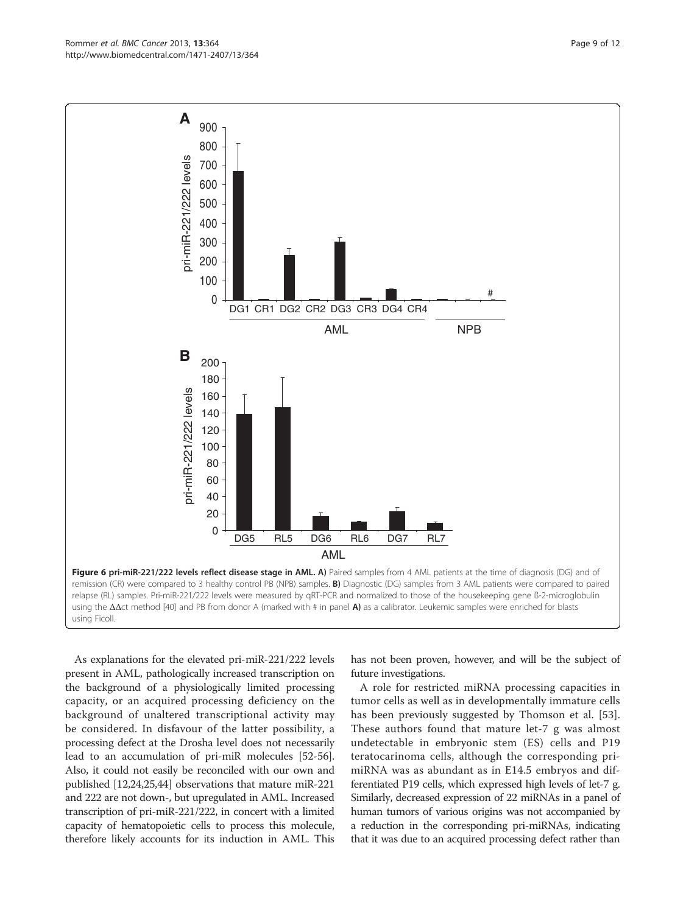<span id="page-8-0"></span>

As explanations for the elevated pri-miR-221/222 levels present in AML, pathologically increased transcription on the background of a physiologically limited processing capacity, or an acquired processing deficiency on the background of unaltered transcriptional activity may be considered. In disfavour of the latter possibility, a processing defect at the Drosha level does not necessarily lead to an accumulation of pri-miR molecules [[52](#page-11-0)-[56](#page-11-0)]. Also, it could not easily be reconciled with our own and published [[12,24,25,](#page-10-0)[44](#page-11-0)] observations that mature miR-221 and 222 are not down-, but upregulated in AML. Increased transcription of pri-miR-221/222, in concert with a limited capacity of hematopoietic cells to process this molecule, therefore likely accounts for its induction in AML. This

has not been proven, however, and will be the subject of future investigations.

A role for restricted miRNA processing capacities in tumor cells as well as in developmentally immature cells has been previously suggested by Thomson et al. [\[53](#page-11-0)]. These authors found that mature let-7 g was almost undetectable in embryonic stem (ES) cells and P19 teratocarinoma cells, although the corresponding primiRNA was as abundant as in E14.5 embryos and differentiated P19 cells, which expressed high levels of let-7 g. Similarly, decreased expression of 22 miRNAs in a panel of human tumors of various origins was not accompanied by a reduction in the corresponding pri-miRNAs, indicating that it was due to an acquired processing defect rather than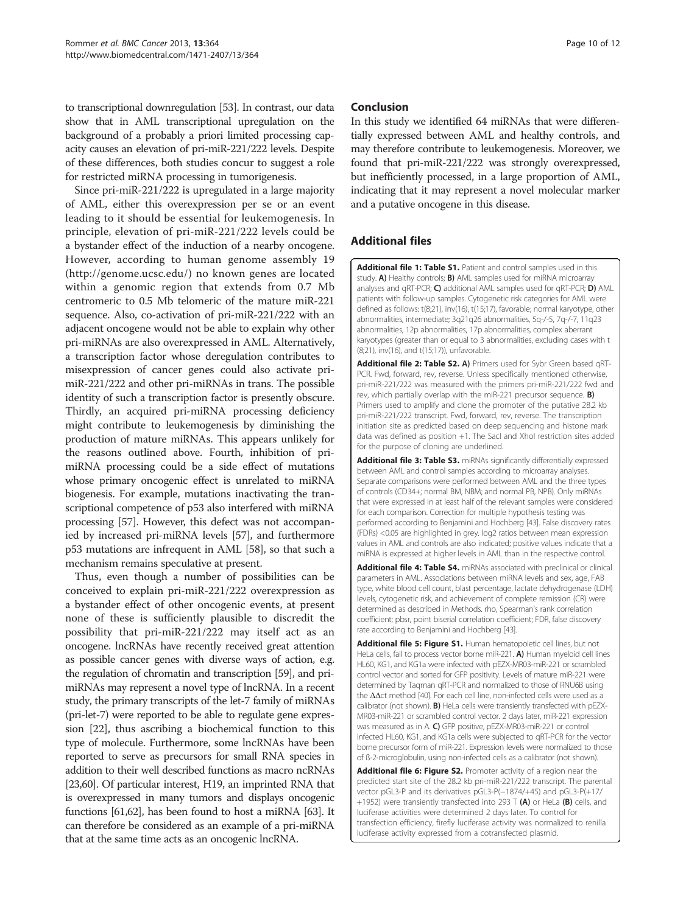<span id="page-9-0"></span>to transcriptional downregulation [\[53\]](#page-11-0). In contrast, our data show that in AML transcriptional upregulation on the background of a probably a priori limited processing capacity causes an elevation of pri-miR-221/222 levels. Despite of these differences, both studies concur to suggest a role for restricted miRNA processing in tumorigenesis.

Since pri-miR-221/222 is upregulated in a large majority of AML, either this overexpression per se or an event leading to it should be essential for leukemogenesis. In principle, elevation of pri-miR-221/222 levels could be a bystander effect of the induction of a nearby oncogene. However, according to human genome assembly 19 ([http://genome.ucsc.edu/\)](http://genome.ucsc.edu/) no known genes are located within a genomic region that extends from 0.7 Mb centromeric to 0.5 Mb telomeric of the mature miR-221 sequence. Also, co-activation of pri-miR-221/222 with an adjacent oncogene would not be able to explain why other pri-miRNAs are also overexpressed in AML. Alternatively, a transcription factor whose deregulation contributes to misexpression of cancer genes could also activate primiR-221/222 and other pri-miRNAs in trans. The possible identity of such a transcription factor is presently obscure. Thirdly, an acquired pri-miRNA processing deficiency might contribute to leukemogenesis by diminishing the production of mature miRNAs. This appears unlikely for the reasons outlined above. Fourth, inhibition of primiRNA processing could be a side effect of mutations whose primary oncogenic effect is unrelated to miRNA biogenesis. For example, mutations inactivating the transcriptional competence of p53 also interfered with miRNA processing [[57](#page-11-0)]. However, this defect was not accompanied by increased pri-miRNA levels [[57](#page-11-0)], and furthermore p53 mutations are infrequent in AML [\[58\]](#page-11-0), so that such a mechanism remains speculative at present.

Thus, even though a number of possibilities can be conceived to explain pri-miR-221/222 overexpression as a bystander effect of other oncogenic events, at present none of these is sufficiently plausible to discredit the possibility that pri-miR-221/222 may itself act as an oncogene. lncRNAs have recently received great attention as possible cancer genes with diverse ways of action, e.g. the regulation of chromatin and transcription [\[59\]](#page-11-0), and primiRNAs may represent a novel type of lncRNA. In a recent study, the primary transcripts of the let-7 family of miRNAs (pri-let-7) were reported to be able to regulate gene expression [[22](#page-10-0)], thus ascribing a biochemical function to this type of molecule. Furthermore, some lncRNAs have been reported to serve as precursors for small RNA species in addition to their well described functions as macro ncRNAs [[23](#page-10-0)[,60\]](#page-11-0). Of particular interest, H19, an imprinted RNA that is overexpressed in many tumors and displays oncogenic functions [\[61,62](#page-11-0)], has been found to host a miRNA [[63](#page-11-0)]. It can therefore be considered as an example of a pri-miRNA that at the same time acts as an oncogenic lncRNA.

## Conclusion

In this study we identified 64 miRNAs that were differentially expressed between AML and healthy controls, and may therefore contribute to leukemogenesis. Moreover, we found that pri-miR-221/222 was strongly overexpressed, but inefficiently processed, in a large proportion of AML, indicating that it may represent a novel molecular marker and a putative oncogene in this disease.

## Additional files

[Additional file 1: Table S1.](http://www.biomedcentral.com/content/supplementary/1471-2407-13-364-S1.doc) Patient and control samples used in this study. A) Healthy controls; B) AML samples used for miRNA microarray analyses and qRT-PCR; C) additional AML samples used for qRT-PCR; D) AML patients with follow-up samples. Cytogenetic risk categories for AML were defined as follows: t(8;21), inv(16), t(15;17), favorable; normal karyotype, other abnormalities, intermediate; 3q21q26 abnormalities, 5q-/-5, 7q-/-7, 11q23 abnormalities, 12p abnormalities, 17p abnormalities, complex aberrant karyotypes (greater than or equal to 3 abnormalities, excluding cases with t (8;21), inv(16), and t(15;17)), unfavorable.

[Additional file 2: Table S2.](http://www.biomedcentral.com/content/supplementary/1471-2407-13-364-S2.doc) A) Primers used for Sybr Green based qRT-PCR. Fwd, forward, rev, reverse. Unless specifically mentioned otherwise, pri-miR-221/222 was measured with the primers pri-miR-221/222 fwd and rev, which partially overlap with the miR-221 precursor sequence. **B)** Primers used to amplify and clone the promoter of the putative 28.2 kb pri-miR-221/222 transcript. Fwd, forward, rev, reverse. The transcription initiation site as predicted based on deep sequencing and histone mark data was defined as position +1. The SacI and XhoI restriction sites added for the purpose of cloning are underlined.

[Additional file 3: Table S3.](http://www.biomedcentral.com/content/supplementary/1471-2407-13-364-S3.doc) miRNAs significantly differentially expressed between AML and control samples according to microarray analyses. Separate comparisons were performed between AML and the three types of controls (CD34+; normal BM, NBM; and normal PB, NPB). Only miRNAs that were expressed in at least half of the relevant samples were considered for each comparison. Correction for multiple hypothesis testing was performed according to Benjamini and Hochberg [\[43\]](#page-11-0). False discovery rates (FDRs) <0.05 are highlighted in grey. log2 ratios between mean expression values in AML and controls are also indicated; positive values indicate that a miRNA is expressed at higher levels in AML than in the respective control.

[Additional file 4: Table S4.](http://www.biomedcentral.com/content/supplementary/1471-2407-13-364-S4.doc) miRNAs associated with preclinical or clinical parameters in AML. Associations between miRNA levels and sex, age, FAB type, white blood cell count, blast percentage, lactate dehydrogenase (LDH) levels, cytogenetic risk, and achievement of complete remission (CR) were determined as described in Methods. rho, Spearman's rank correlation coefficient; pbsr, point biserial correlation coefficient; FDR, false discovery rate according to Benjamini and Hochberg [\[43](#page-11-0)].

[Additional file 5: Figure S1.](http://www.biomedcentral.com/content/supplementary/1471-2407-13-364-S5.pdf) Human hematopoietic cell lines, but not HeLa cells, fail to process vector borne miR-221. A) Human myeloid cell lines HL60, KG1, and KG1a were infected with pEZX-MR03-miR-221 or scrambled control vector and sorted for GFP positivity. Levels of mature miR-221 were determined by Taqman qRT-PCR and normalized to those of RNU6B using the ΔΔct method [\[40\]](#page-11-0). For each cell line, non-infected cells were used as a calibrator (not shown). B) HeLa cells were transiently transfected with pEZX-MR03-miR-221 or scrambled control vector. 2 days later, miR-221 expression was measured as in A. C) GFP positive, pEZX-MR03-miR-221 or control infected HL60, KG1, and KG1a cells were subjected to qRT-PCR for the vector borne precursor form of miR-221. Expression levels were normalized to those of ß-2-microglobulin, using non-infected cells as a calibrator (not shown).

[Additional file 6: Figure S2.](http://www.biomedcentral.com/content/supplementary/1471-2407-13-364-S6.pdf) Promoter activity of a region near the predicted start site of the 28.2 kb pri-miR-221/222 transcript. The parental vector pGL3-P and its derivatives pGL3-P(−1874/+45) and pGL3-P(+17/ +1952) were transiently transfected into 293 T (A) or HeLa (B) cells, and luciferase activities were determined 2 days later. To control for transfection efficiency, firefly luciferase activity was normalized to renilla luciferase activity expressed from a cotransfected plasmid.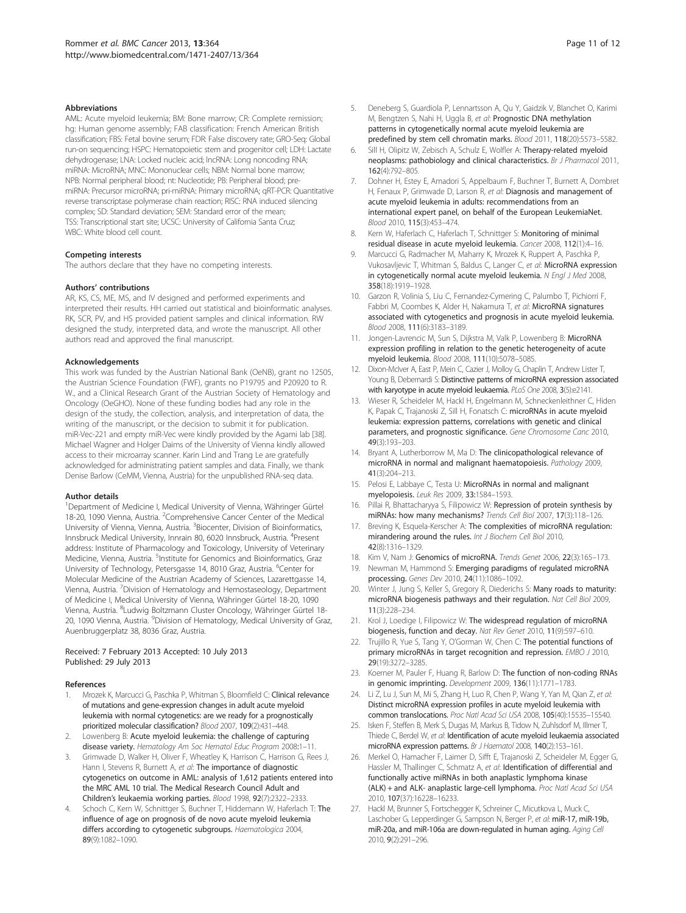#### <span id="page-10-0"></span>**Abbreviations**

AML: Acute myeloid leukemia; BM: Bone marrow; CR: Complete remission; hg: Human genome assembly; FAB classification: French American British classification; FBS: Fetal bovine serum; FDR: False discovery rate; GRO-Seq: Global run-on sequencing; HSPC: Hematopoietic stem and progenitor cell; LDH: Lactate dehydrogenase; LNA: Locked nucleic acid; lncRNA: Long noncoding RNA; miRNA: MicroRNA; MNC: Mononuclear cells; NBM: Normal bone marrow; NPB: Normal peripheral blood; nt: Nucleotide; PB: Peripheral blood; premiRNA: Precursor microRNA; pri-miRNA: Primary microRNA; qRT-PCR: Quantitative reverse transcriptase polymerase chain reaction; RISC: RNA induced silencing complex; SD: Standard deviation; SEM: Standard error of the mean; TSS: Transcriptional start site; UCSC: University of California Santa Cruz; WBC: White blood cell count.

#### Competing interests

The authors declare that they have no competing interests.

#### Authors' contributions

AR, KS, CS, ME, MS, and IV designed and performed experiments and interpreted their results. HH carried out statistical and bioinformatic analyses. RK, SCR, PV, and HS provided patient samples and clinical information. RW designed the study, interpreted data, and wrote the manuscript. All other authors read and approved the final manuscript.

#### Acknowledgements

This work was funded by the Austrian National Bank (OeNB), grant no 12505, the Austrian Science Foundation (FWF), grants no P19795 and P20920 to R. W., and a Clinical Research Grant of the Austrian Society of Hematology and Oncology (OeGHO). None of these funding bodies had any role in the design of the study, the collection, analysis, and interpretation of data, the writing of the manuscript, or the decision to submit it for publication. miR-Vec-221 and empty miR-Vec were kindly provided by the Agami lab [[38\]](#page-11-0). Michael Wagner and Holger Daims of the University of Vienna kindly allowed access to their microarray scanner. Karin Lind and Trang Le are gratefully acknowledged for administrating patient samples and data. Finally, we thank Denise Barlow (CeMM, Vienna, Austria) for the unpublished RNA-seq data.

#### Author details

<sup>1</sup>Department of Medicine I, Medical University of Vienna, Währinger Gürtel 18-20, 1090 Vienna, Austria. <sup>2</sup>Comprehensive Cancer Center of the Medical University of Vienna, Vienna, Austria. <sup>3</sup>Biocenter, Division of Bioinformatics, Innsbruck Medical University, Innrain 80, 6020 Innsbruck, Austria. <sup>4</sup>Present address: Institute of Pharmacology and Toxicology, University of Veterinary Medicine, Vienna, Austria. <sup>5</sup>Institute for Genomics and Bioinformatics, Graz University of Technology, Petersgasse 14, 8010 Graz, Austria. <sup>6</sup>Center for Molecular Medicine of the Austrian Academy of Sciences, Lazarettgasse 14, Vienna, Austria. <sup>7</sup>Division of Hematology and Hemostaseology, Department of Medicine I, Medical University of Vienna, Währinger Gürtel 18-20, 1090 Vienna, Austria. <sup>8</sup>Ludwig Boltzmann Cluster Oncology, Währinger Gürtel 18-20, 1090 Vienna, Austria. <sup>9</sup>Division of Hematology, Medical University of Graz, Auenbruggerplatz 38, 8036 Graz, Austria.

#### Received: 7 February 2013 Accepted: 10 July 2013 Published: 29 July 2013

#### References

- 1. Mrozek K, Marcucci G, Paschka P, Whitman S, Bloomfield C: Clinical relevance of mutations and gene-expression changes in adult acute myeloid leukemia with normal cytogenetics: are we ready for a prognostically prioritized molecular classification? Blood 2007, 109(2):431–448.
- Lowenberg B: Acute myeloid leukemia: the challenge of capturing disease variety. Hematology Am Soc Hematol Educ Program 2008:1–11.
- 3. Grimwade D, Walker H, Oliver F, Wheatley K, Harrison C, Harrison G, Rees J, Hann I, Stevens R, Burnett A, et al: The importance of diagnostic cytogenetics on outcome in AML: analysis of 1,612 patients entered into the MRC AML 10 trial. The Medical Research Council Adult and Children's leukaemia working parties. Blood 1998, 92(7):2322–2333.
- Schoch C, Kern W, Schnittger S, Buchner T, Hiddemann W, Haferlach T: The influence of age on prognosis of de novo acute myeloid leukemia differs according to cytogenetic subgroups. Haematologica 2004, 89(9):1082–1090.
- 5. Deneberg S, Guardiola P, Lennartsson A, Qu Y, Gaidzik V, Blanchet O, Karimi M, Bengtzen S, Nahi H, Uggla B, et al: Prognostic DNA methylation patterns in cytogenetically normal acute myeloid leukemia are predefined by stem cell chromatin marks. Blood 2011, 118(20):5573–5582.
- 6. Sill H, Olipitz W, Zebisch A, Schulz E, Wolfler A: Therapy-related myeloid neoplasms: pathobiology and clinical characteristics. Br J Pharmacol 2011, 162(4):792–805.
- 7. Dohner H, Estey E, Amadori S, Appelbaum F, Buchner T, Burnett A, Dombret H, Fenaux P, Grimwade D, Larson R, et al: Diagnosis and management of acute myeloid leukemia in adults: recommendations from an international expert panel, on behalf of the European LeukemiaNet. Blood 2010, 115(3):453–474.
- 8. Kern W, Haferlach C, Haferlach T, Schnittger S: Monitoring of minimal residual disease in acute myeloid leukemia. Cancer 2008, 112(1):4–16.
- 9. Marcucci G, Radmacher M, Maharry K, Mrozek K, Ruppert A, Paschka P, Vukosavljevic T, Whitman S, Baldus C, Langer C, et al: MicroRNA expression in cytogenetically normal acute myeloid leukemia. N Engl J Med 2008, 358(18):1919–1928.
- 10. Garzon R, Volinia S, Liu C, Fernandez-Cymering C, Palumbo T, Pichiorri F, Fabbri M, Coombes K, Alder H, Nakamura T, et al: MicroRNA signatures associated with cytogenetics and prognosis in acute myeloid leukemia. Blood 2008, 111(6):3183–3189.
- 11. Jongen-Lavrencic M, Sun S, Dijkstra M, Valk P, Lowenberg B: MicroRNA expression profiling in relation to the genetic heterogeneity of acute myeloid leukemia. Blood 2008, 111(10):5078–5085.
- 12. Dixon-McIver A, East P, Mein C, Cazier J, Molloy G, Chaplin T, Andrew Lister T, Young B, Debernardi S: Distinctive patterns of microRNA expression associated with karyotype in acute myeloid leukaemia. PLoS One 2008, 3(5):e2141.
- 13. Wieser R, Scheideler M, Hackl H, Engelmann M, Schneckenleithner C, Hiden K, Papak C, Trajanoski Z, Sill H, Fonatsch C: microRNAs in acute myeloid leukemia: expression patterns, correlations with genetic and clinical parameters, and prognostic significance. Gene Chromosome Canc 2010, 49(3):193–203.
- 14. Bryant A, Lutherborrow M, Ma D: The clinicopathological relevance of microRNA in normal and malignant haematopoiesis. Pathology 2009, 41(3):204–213.
- 15. Pelosi E, Labbaye C, Testa U: MicroRNAs in normal and malignant myelopoiesis. Leuk Res 2009, 33:1584–1593.
- 16. Pillai R, Bhattacharyya S, Filipowicz W: Repression of protein synthesis by miRNAs: how many mechanisms? Trends Cell Biol 2007, 17(3):118–126.
- 17. Breving K, Esquela-Kerscher A: The complexities of microRNA regulation: mirandering around the rules. Int J Biochem Cell Biol 2010. 42(8):1316–1329.
- 18. Kim V, Nam J: Genomics of microRNA. Trends Genet 2006, 22(3):165-173.
- 19. Newman M, Hammond S: Emerging paradigms of regulated microRNA processing. Genes Dev 2010, 24(11):1086–1092.
- 20. Winter J, Jung S, Keller S, Gregory R, Diederichs S: Many roads to maturity: microRNA biogenesis pathways and their regulation. Nat Cell Biol 2009, 11(3):228–234.
- 21. Krol J, Loedige I, Filipowicz W: The widespread regulation of microRNA biogenesis, function and decay. Nat Rev Genet 2010, 11(9):597–610.
- 22. Trujillo R, Yue S, Tang Y, O'Gorman W, Chen C: The potential functions of primary microRNAs in target recognition and repression. EMBO J 2010, 29(19):3272–3285.
- 23. Koerner M, Pauler F, Huang R, Barlow D: The function of non-coding RNAs in genomic imprinting. Development 2009, 136(11):1771–1783.
- 24. Li Z, Lu J, Sun M, Mi S, Zhang H, Luo R, Chen P, Wang Y, Yan M, Qian Z, et al: Distinct microRNA expression profiles in acute myeloid leukemia with common translocations. Proc Natl Acad Sci USA 2008, 105(40):15535–15540.
- 25. Isken F, Steffen B, Merk S, Dugas M, Markus B, Tidow N, Zuhlsdorf M, Illmer T, Thiede C, Berdel W, et al: Identification of acute myeloid leukaemia associated microRNA expression patterns. Br J Haematol 2008, 140(2):153–161.
- 26. Merkel O, Hamacher F, Laimer D, Sifft E, Trajanoski Z, Scheideler M, Egger G, Hassler M, Thallinger C, Schmatz A, et al: Identification of differential and functionally active miRNAs in both anaplastic lymphoma kinase (ALK) + and ALK- anaplastic large-cell lymphoma. Proc Natl Acad Sci USA 2010, 107(37):16228–16233.
- 27. Hackl M, Brunner S, Fortschegger K, Schreiner C, Micutkova L, Muck C, Laschober G, Lepperdinger G, Sampson N, Berger P, et al: miR-17, miR-19b, miR-20a, and miR-106a are down-regulated in human aging. Aging Cell 2010, 9(2):291–296.